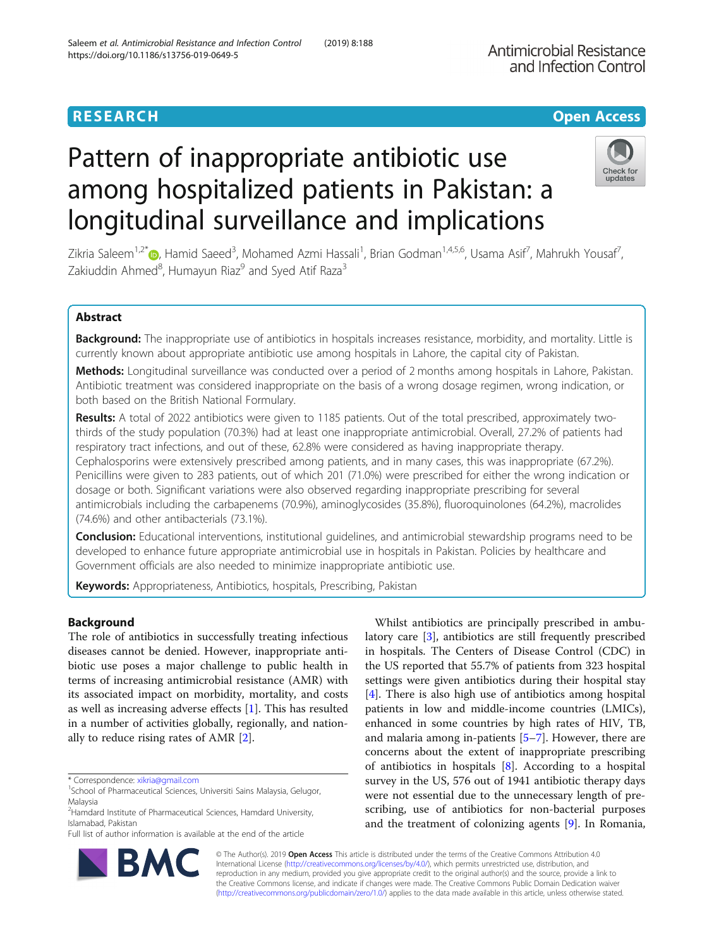among hospitalized patients in Pakistan: a

longitudinal surveillance and implications

Antimicrobial Resistance and Infection Control

# Check for undates

Zikria Saleem<sup>1[,](http://orcid.org/0000-0003-3202-6347)2\*</sup>®, Hamid Saeed<sup>3</sup>, Mohamed Azmi Hassali<sup>1</sup>, Brian Godman<sup>1,4,5,6</sup>, Usama Asif<sup>7</sup>, Mahrukh Yousaf<sup>7</sup> , Zakiuddin Ahmed<sup>8</sup>, Humayun Riaz<sup>9</sup> and Syed Atif Raza<sup>3</sup>

## Abstract

Background: The inappropriate use of antibiotics in hospitals increases resistance, morbidity, and mortality. Little is currently known about appropriate antibiotic use among hospitals in Lahore, the capital city of Pakistan.

Methods: Longitudinal surveillance was conducted over a period of 2 months among hospitals in Lahore, Pakistan. Antibiotic treatment was considered inappropriate on the basis of a wrong dosage regimen, wrong indication, or both based on the British National Formulary.

Results: A total of 2022 antibiotics were given to 1185 patients. Out of the total prescribed, approximately twothirds of the study population (70.3%) had at least one inappropriate antimicrobial. Overall, 27.2% of patients had respiratory tract infections, and out of these, 62.8% were considered as having inappropriate therapy. Cephalosporins were extensively prescribed among patients, and in many cases, this was inappropriate (67.2%). Penicillins were given to 283 patients, out of which 201 (71.0%) were prescribed for either the wrong indication or dosage or both. Significant variations were also observed regarding inappropriate prescribing for several antimicrobials including the carbapenems (70.9%), aminoglycosides (35.8%), fluoroquinolones (64.2%), macrolides (74.6%) and other antibacterials (73.1%).

**Conclusion:** Educational interventions, institutional guidelines, and antimicrobial stewardship programs need to be developed to enhance future appropriate antimicrobial use in hospitals in Pakistan. Policies by healthcare and Government officials are also needed to minimize inappropriate antibiotic use.

Keywords: Appropriateness, Antibiotics, hospitals, Prescribing, Pakistan

## Background

The role of antibiotics in successfully treating infectious diseases cannot be denied. However, inappropriate antibiotic use poses a major challenge to public health in terms of increasing antimicrobial resistance (AMR) with its associated impact on morbidity, mortality, and costs as well as increasing adverse effects [\[1](#page-5-0)]. This has resulted in a number of activities globally, regionally, and nationally to reduce rising rates of AMR [\[2](#page-5-0)].

**B/** 

<sup>2</sup> Hamdard Institute of Pharmaceutical Sciences, Hamdard University, Islamabad, Pakistan

Full list of author information is available at the end of the article



© The Author(s). 2019 Open Access This article is distributed under the terms of the Creative Commons Attribution 4.0 International License [\(http://creativecommons.org/licenses/by/4.0/](http://creativecommons.org/licenses/by/4.0/)), which permits unrestricted use, distribution, and reproduction in any medium, provided you give appropriate credit to the original author(s) and the source, provide a link to the Creative Commons license, and indicate if changes were made. The Creative Commons Public Domain Dedication waiver [\(http://creativecommons.org/publicdomain/zero/1.0/](http://creativecommons.org/publicdomain/zero/1.0/)) applies to the data made available in this article, unless otherwise stated.

<sup>\*</sup> Correspondence: [xikria@gmail.com](mailto:xikria@gmail.com) <sup>1</sup>

<sup>&</sup>lt;sup>1</sup>School of Pharmaceutical Sciences, Universiti Sains Malaysia, Gelugor, Malaysia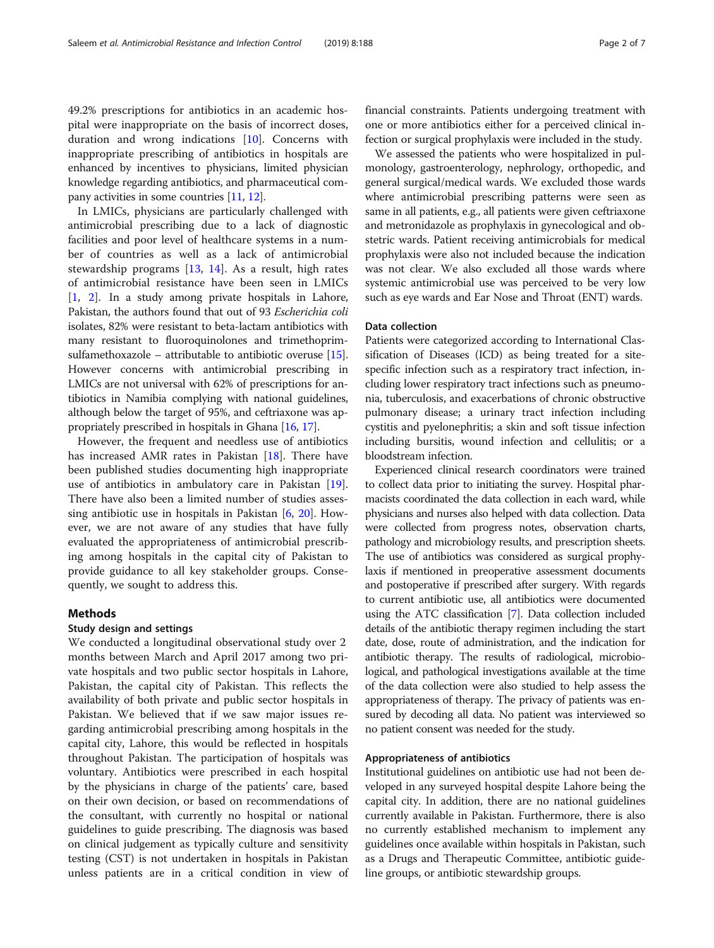49.2% prescriptions for antibiotics in an academic hospital were inappropriate on the basis of incorrect doses, duration and wrong indications [[10\]](#page-5-0). Concerns with inappropriate prescribing of antibiotics in hospitals are enhanced by incentives to physicians, limited physician knowledge regarding antibiotics, and pharmaceutical company activities in some countries [[11](#page-5-0), [12\]](#page-5-0).

In LMICs, physicians are particularly challenged with antimicrobial prescribing due to a lack of diagnostic facilities and poor level of healthcare systems in a number of countries as well as a lack of antimicrobial stewardship programs [\[13,](#page-5-0) [14](#page-6-0)]. As a result, high rates of antimicrobial resistance have been seen in LMICs [[1,](#page-5-0) [2\]](#page-5-0). In a study among private hospitals in Lahore, Pakistan, the authors found that out of 93 Escherichia coli isolates, 82% were resistant to beta-lactam antibiotics with many resistant to fluoroquinolones and trimethoprimsulfamethoxazole – attributable to antibiotic overuse [[15](#page-6-0)]. However concerns with antimicrobial prescribing in LMICs are not universal with 62% of prescriptions for antibiotics in Namibia complying with national guidelines, although below the target of 95%, and ceftriaxone was appropriately prescribed in hospitals in Ghana [[16](#page-6-0), [17\]](#page-6-0).

However, the frequent and needless use of antibiotics has increased AMR rates in Pakistan [\[18\]](#page-6-0). There have been published studies documenting high inappropriate use of antibiotics in ambulatory care in Pakistan [\[19](#page-6-0)]. There have also been a limited number of studies assessing antibiotic use in hospitals in Pakistan [\[6](#page-5-0), [20\]](#page-6-0). However, we are not aware of any studies that have fully evaluated the appropriateness of antimicrobial prescribing among hospitals in the capital city of Pakistan to provide guidance to all key stakeholder groups. Consequently, we sought to address this.

## Methods

#### Study design and settings

We conducted a longitudinal observational study over 2 months between March and April 2017 among two private hospitals and two public sector hospitals in Lahore, Pakistan, the capital city of Pakistan. This reflects the availability of both private and public sector hospitals in Pakistan. We believed that if we saw major issues regarding antimicrobial prescribing among hospitals in the capital city, Lahore, this would be reflected in hospitals throughout Pakistan. The participation of hospitals was voluntary. Antibiotics were prescribed in each hospital by the physicians in charge of the patients' care, based on their own decision, or based on recommendations of the consultant, with currently no hospital or national guidelines to guide prescribing. The diagnosis was based on clinical judgement as typically culture and sensitivity testing (CST) is not undertaken in hospitals in Pakistan unless patients are in a critical condition in view of

financial constraints. Patients undergoing treatment with one or more antibiotics either for a perceived clinical infection or surgical prophylaxis were included in the study.

We assessed the patients who were hospitalized in pulmonology, gastroenterology, nephrology, orthopedic, and general surgical/medical wards. We excluded those wards where antimicrobial prescribing patterns were seen as same in all patients, e.g., all patients were given ceftriaxone and metronidazole as prophylaxis in gynecological and obstetric wards. Patient receiving antimicrobials for medical prophylaxis were also not included because the indication was not clear. We also excluded all those wards where systemic antimicrobial use was perceived to be very low such as eye wards and Ear Nose and Throat (ENT) wards.

### Data collection

Patients were categorized according to International Classification of Diseases (ICD) as being treated for a sitespecific infection such as a respiratory tract infection, including lower respiratory tract infections such as pneumonia, tuberculosis, and exacerbations of chronic obstructive pulmonary disease; a urinary tract infection including cystitis and pyelonephritis; a skin and soft tissue infection including bursitis, wound infection and cellulitis; or a bloodstream infection.

Experienced clinical research coordinators were trained to collect data prior to initiating the survey. Hospital pharmacists coordinated the data collection in each ward, while physicians and nurses also helped with data collection. Data were collected from progress notes, observation charts, pathology and microbiology results, and prescription sheets. The use of antibiotics was considered as surgical prophylaxis if mentioned in preoperative assessment documents and postoperative if prescribed after surgery. With regards to current antibiotic use, all antibiotics were documented using the ATC classification [\[7](#page-5-0)]. Data collection included details of the antibiotic therapy regimen including the start date, dose, route of administration, and the indication for antibiotic therapy. The results of radiological, microbiological, and pathological investigations available at the time of the data collection were also studied to help assess the appropriateness of therapy. The privacy of patients was ensured by decoding all data. No patient was interviewed so no patient consent was needed for the study.

## Appropriateness of antibiotics

Institutional guidelines on antibiotic use had not been developed in any surveyed hospital despite Lahore being the capital city. In addition, there are no national guidelines currently available in Pakistan. Furthermore, there is also no currently established mechanism to implement any guidelines once available within hospitals in Pakistan, such as a Drugs and Therapeutic Committee, antibiotic guideline groups, or antibiotic stewardship groups.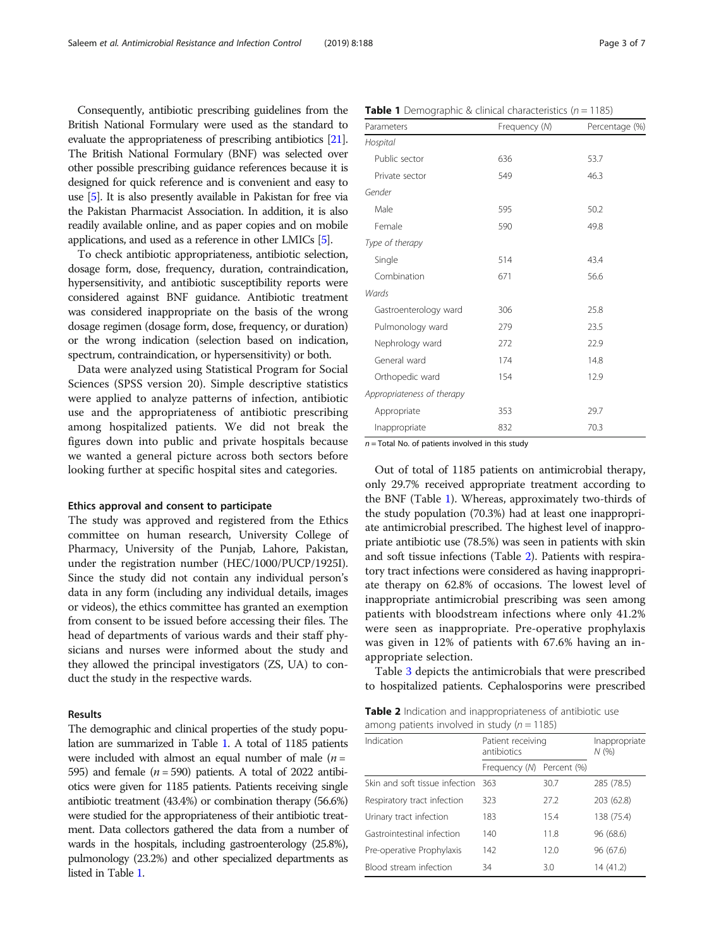<span id="page-2-0"></span>Consequently, antibiotic prescribing guidelines from the British National Formulary were used as the standard to evaluate the appropriateness of prescribing antibiotics [\[21](#page-6-0)]. The British National Formulary (BNF) was selected over other possible prescribing guidance references because it is designed for quick reference and is convenient and easy to use [\[5\]](#page-5-0). It is also presently available in Pakistan for free via the Pakistan Pharmacist Association. In addition, it is also readily available online, and as paper copies and on mobile applications, and used as a reference in other LMICs [\[5\]](#page-5-0).

To check antibiotic appropriateness, antibiotic selection, dosage form, dose, frequency, duration, contraindication, hypersensitivity, and antibiotic susceptibility reports were considered against BNF guidance. Antibiotic treatment was considered inappropriate on the basis of the wrong dosage regimen (dosage form, dose, frequency, or duration) or the wrong indication (selection based on indication, spectrum, contraindication, or hypersensitivity) or both.

Data were analyzed using Statistical Program for Social Sciences (SPSS version 20). Simple descriptive statistics were applied to analyze patterns of infection, antibiotic use and the appropriateness of antibiotic prescribing among hospitalized patients. We did not break the figures down into public and private hospitals because we wanted a general picture across both sectors before looking further at specific hospital sites and categories.

#### Ethics approval and consent to participate

The study was approved and registered from the Ethics committee on human research, University College of Pharmacy, University of the Punjab, Lahore, Pakistan, under the registration number (HEC/1000/PUCP/1925I). Since the study did not contain any individual person's data in any form (including any individual details, images or videos), the ethics committee has granted an exemption from consent to be issued before accessing their files. The head of departments of various wards and their staff physicians and nurses were informed about the study and they allowed the principal investigators (ZS, UA) to conduct the study in the respective wards.

## Results

The demographic and clinical properties of the study population are summarized in Table 1. A total of 1185 patients were included with almost an equal number of male  $(n =$ 595) and female  $(n = 590)$  patients. A total of 2022 antibiotics were given for 1185 patients. Patients receiving single antibiotic treatment (43.4%) or combination therapy (56.6%) were studied for the appropriateness of their antibiotic treatment. Data collectors gathered the data from a number of wards in the hospitals, including gastroenterology (25.8%), pulmonology (23.2%) and other specialized departments as listed in Table 1.

|  |  |  |  |  | <b>Table 1</b> Demographic & clinical characteristics $(n = 1185)$ |  |
|--|--|--|--|--|--------------------------------------------------------------------|--|
|--|--|--|--|--|--------------------------------------------------------------------|--|

| Parameters                 | Frequency (N) | Percentage (%) |  |
|----------------------------|---------------|----------------|--|
| Hospital                   |               |                |  |
| Public sector              | 636           | 53.7           |  |
| Private sector             | 549           | 46.3           |  |
| Gender                     |               |                |  |
| Male                       | 595           | 50.2           |  |
| Female                     | 590           | 49.8           |  |
| Type of therapy            |               |                |  |
| Single                     | 514           | 43.4           |  |
| Combination                | 671           | 56.6           |  |
| Wards                      |               |                |  |
| Gastroenterology ward      | 306           | 25.8           |  |
| Pulmonology ward           | 279           | 23.5           |  |
| Nephrology ward            | 272           | 22.9           |  |
| General ward               | 174           | 14.8           |  |
| Orthopedic ward            | 154           | 12.9           |  |
| Appropriateness of therapy |               |                |  |
| Appropriate                | 353           | 29.7           |  |
| Inappropriate              | 832           | 70.3           |  |

 $n =$  Total No. of patients involved in this study

Out of total of 1185 patients on antimicrobial therapy, only 29.7% received appropriate treatment according to the BNF (Table 1). Whereas, approximately two-thirds of the study population (70.3%) had at least one inappropriate antimicrobial prescribed. The highest level of inappropriate antibiotic use (78.5%) was seen in patients with skin and soft tissue infections (Table 2). Patients with respiratory tract infections were considered as having inappropriate therapy on 62.8% of occasions. The lowest level of inappropriate antimicrobial prescribing was seen among patients with bloodstream infections where only 41.2% were seen as inappropriate. Pre-operative prophylaxis was given in 12% of patients with 67.6% having an inappropriate selection.

Table [3](#page-3-0) depicts the antimicrobials that were prescribed to hospitalized patients. Cephalosporins were prescribed

Table 2 Indication and inappropriateness of antibiotic use among patients involved in study ( $n = 1185$ )

| Indication                     | Patient receiving<br>antibiotics | Inappropriate<br>N(% |            |
|--------------------------------|----------------------------------|----------------------|------------|
|                                | Frequency (N)                    | Percent (%)          |            |
| Skin and soft tissue infection | 363                              | 30.7                 | 285 (78.5) |
| Respiratory tract infection    | 323                              | 27.2                 | 203 (62.8) |
| Urinary tract infection        | 183                              | 15.4                 | 138 (75.4) |
| Gastrointestinal infection     | 140                              | 118                  | 96 (68.6)  |
| Pre-operative Prophylaxis      | 142                              | 12.0                 | 96 (67.6)  |
| Blood stream infection         | 34                               | 3.0                  | 14 (41.2)  |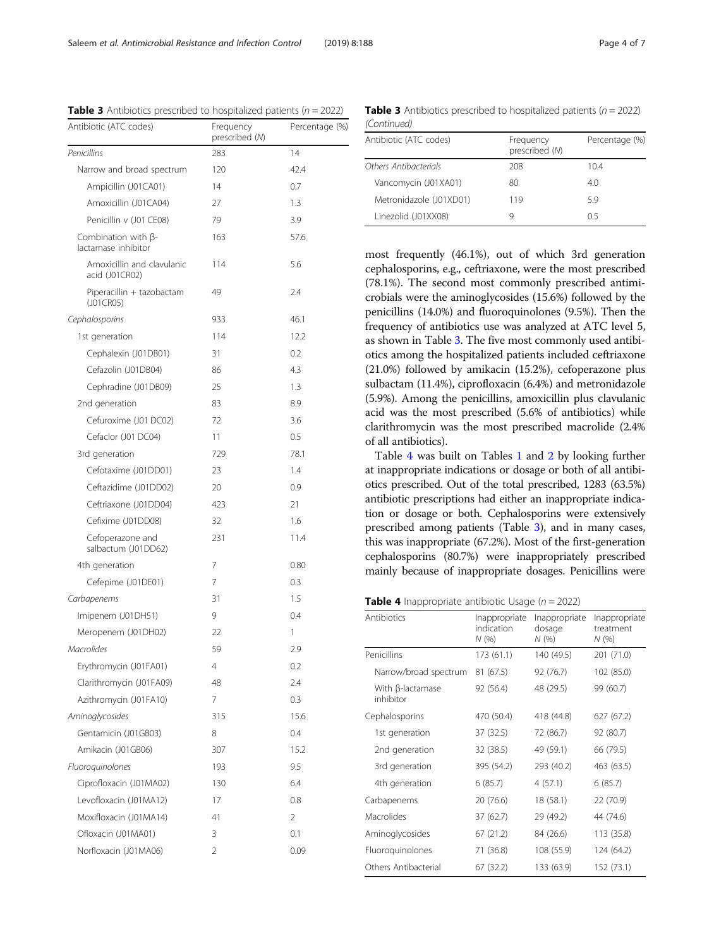frequency of antibiotics use was analyzed at ATC level 5, as shown in Table 3. The five most commonly used antibiotics among the hospitalized patients included ceftriaxone (21.0%) followed by amikacin (15.2%), cefoperazone plus sulbactam (11.4%), ciprofloxacin (6.4%) and metronidazole (5.9%). Among the penicillins, amoxicillin plus clavulanic acid was the most prescribed (5.6% of antibiotics) while clarithromycin was the most prescribed macrolide (2.4% of all antibiotics). Table 4 was built on Tables [1](#page-2-0) and [2](#page-2-0) by looking further at inappropriate indications or dosage or both of all antibiotics prescribed. Out of the total prescribed, 1283 (63.5%) antibiotic prescriptions had either an inappropriate indica-

tion or dosage or both. Cephalosporins were extensively prescribed among patients (Table 3), and in many cases, this was inappropriate (67.2%). Most of the first-generation cephalosporins (80.7%) were inappropriately prescribed mainly because of inappropriate dosages. Penicillins were



| Antibiotics                   | Inappropriate<br>indication<br>N(% ) | Inappropriate<br>dosage<br>N(% | Inappropriate<br>treatment<br>N(% |
|-------------------------------|--------------------------------------|--------------------------------|-----------------------------------|
| Penicillins                   | 173(61.1)                            | 140 (49.5)                     | 201 (71.0)                        |
| Narrow/broad spectrum         | 81 (67.5)                            | 92 (76.7)                      | 102 (85.0)                        |
| With β-lactamase<br>inhibitor | 92 (56.4)                            | 48 (29.5)                      | 99 (60.7)                         |
| Cephalosporins                | 470 (50.4)                           | 418 (44.8)                     | 627 (67.2)                        |
| 1st generation                | 37 (32.5)                            | 72 (86.7)                      | 92 (80.7)                         |
| 2nd generation                | 32 (38.5)                            | 49 (59.1)                      | 66 (79.5)                         |
| 3rd generation                | 395 (54.2)                           | 293 (40.2)                     | 463 (63.5)                        |
| 4th generation                | 6(85.7)                              | 4(57.1)                        | 6(85.7)                           |
| Carbapenems                   | 20 (76.6)                            | 18 (58.1)                      | 22 (70.9)                         |
| Macrolides                    | 37 (62.7)                            | 29 (49.2)                      | 44 (74.6)                         |
| Aminoglycosides               | 67 (21.2)                            | 84 (26.6)                      | 113 (35.8)                        |
| Fluoroquinolones              | 71 (36.8)                            | 108 (55.9)                     | 124 (64.2)                        |
| Others Antibacterial          | 67 (32.2)                            | 133 (63.9)                     | 152 (73.1)                        |

**Table 3** Antibiotics prescribed to hospitalized patients ( $n = 2022$ ) (Continued)

<span id="page-3-0"></span>

| Saleetti et ul. Amministopiul Resistunce unu imechon Control                  |                             | 12 U I 21      |
|-------------------------------------------------------------------------------|-----------------------------|----------------|
| <b>Table 3</b> Antibiotics prescribed to hospitalized patients ( $n = 2022$ ) |                             |                |
| Antibiotic (ATC codes)                                                        | Frequency<br>procesibed (M) | Percentage (%) |

|                                                   | prescribed (N) |      |  |
|---------------------------------------------------|----------------|------|--|
| Penicillins                                       | 283            | 14   |  |
| Narrow and broad spectrum                         | 120            | 42.4 |  |
| Ampicillin (J01CA01)                              | 14             | 0.7  |  |
| Amoxicillin (J01CA04)                             | 27             | 1.3  |  |
| Penicillin v (J01 CE08)                           | 79             | 3.9  |  |
| Combination with $\beta$ -<br>lactamase inhibitor | 163            | 57.6 |  |
| Amoxicillin and clavulanic<br>acid (J01CR02)      | 114            | 5.6  |  |
| Piperacillin + tazobactam<br>(J01CR05)            | 49             | 2.4  |  |
| Cephalosporins                                    | 933            | 46.1 |  |
| 1st generation                                    | 114            | 12.2 |  |
| Cephalexin (J01DB01)                              | 31             | 0.2  |  |
| Cefazolin (J01DB04)                               | 86             | 4.3  |  |
| Cephradine (J01DB09)                              | 25             | 1.3  |  |
| 2nd generation                                    | 83             | 8.9  |  |
| Cefuroxime (J01 DC02)                             | 72             | 3.6  |  |
| Cefaclor (J01 DC04)                               | 11             | 0.5  |  |
| 3rd generation                                    | 729            | 78.1 |  |
| Cefotaxime (J01DD01)                              | 23             | 1.4  |  |
| Ceftazidime (J01DD02)                             | 20             | 0.9  |  |
| Ceftriaxone (J01DD04)                             | 423            | 21   |  |
| Cefixime (J01DD08)                                | 32             | 1.6  |  |
| Cefoperazone and<br>salbactum (J01DD62)           | 231            | 11.4 |  |
| 4th generation                                    | 7              | 0.80 |  |
| Cefepime (J01DE01)                                | 7              | 0.3  |  |
| Carbapenems                                       | 31             | 1.5  |  |
| Imipenem (J01DH51)                                | 9              | 0.4  |  |
| Meropenem (J01DH02)                               | 22             | 1    |  |
| <b>Macrolides</b>                                 | 59             | 2.9  |  |
| Erythromycin (J01FA01)                            | 4              | 0.2  |  |
| Clarithromycin (J01FA09)                          | 48             | 2.4  |  |
| Azithromycin (J01FA10)                            | 7              | 0.3  |  |
| Aminoglycosides                                   | 315            | 15.6 |  |
| Gentamicin (J01GB03)                              | 8              | 0.4  |  |
| Amikacin (J01GB06)                                | 307            | 15.2 |  |
| Fluoroquinolones                                  | 193            | 9.5  |  |
| Ciprofloxacin (J01MA02)                           | 130            | 6.4  |  |
| Levofloxacin (J01MA12)                            | 17             | 0.8  |  |
| Moxifloxacin (J01MA14)                            | 41             | 2    |  |
| Ofloxacin (J01MA01)                               | 3              | 0.1  |  |

Norfloxacin (J01MA06) 2 0.09

Antibiotic (ATC codes) Frequency prescribed (N) Percentage (%) Others Antibacterials 208 208 10.4 Vancomycin (J01XA01) 80 4.0

most frequently (46.1%), out of which 3rd generation cephalosporins, e.g., ceftriaxone, were the most prescribed (78.1%). The second most commonly prescribed antimicrobials were the aminoglycosides (15.6%) followed by the penicillins (14.0%) and fluoroquinolones (9.5%). Then the

Metronidazole (J01XD01) 119 5.9 Linezolid (J01XX08) 9 0.5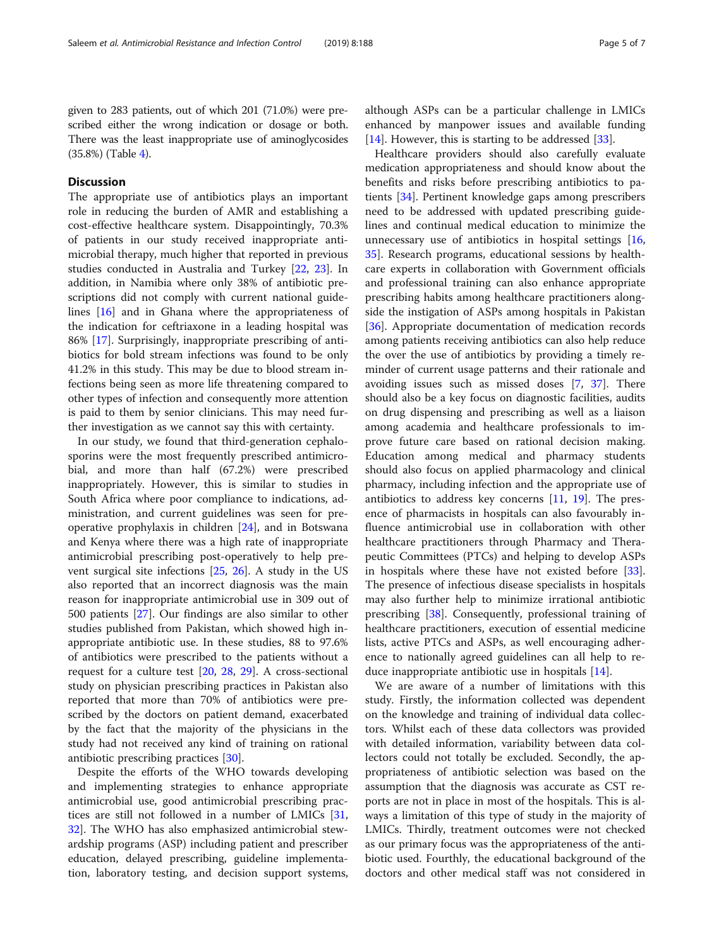## **Discussion**

The appropriate use of antibiotics plays an important role in reducing the burden of AMR and establishing a cost-effective healthcare system. Disappointingly, 70.3% of patients in our study received inappropriate antimicrobial therapy, much higher that reported in previous studies conducted in Australia and Turkey [[22,](#page-6-0) [23](#page-6-0)]. In addition, in Namibia where only 38% of antibiotic prescriptions did not comply with current national guidelines [[16](#page-6-0)] and in Ghana where the appropriateness of the indication for ceftriaxone in a leading hospital was 86% [[17\]](#page-6-0). Surprisingly, inappropriate prescribing of antibiotics for bold stream infections was found to be only 41.2% in this study. This may be due to blood stream infections being seen as more life threatening compared to other types of infection and consequently more attention is paid to them by senior clinicians. This may need further investigation as we cannot say this with certainty.

In our study, we found that third-generation cephalosporins were the most frequently prescribed antimicrobial, and more than half (67.2%) were prescribed inappropriately. However, this is similar to studies in South Africa where poor compliance to indications, administration, and current guidelines was seen for preoperative prophylaxis in children [[24](#page-6-0)], and in Botswana and Kenya where there was a high rate of inappropriate antimicrobial prescribing post-operatively to help prevent surgical site infections [[25,](#page-6-0) [26\]](#page-6-0). A study in the US also reported that an incorrect diagnosis was the main reason for inappropriate antimicrobial use in 309 out of 500 patients [\[27\]](#page-6-0). Our findings are also similar to other studies published from Pakistan, which showed high inappropriate antibiotic use. In these studies, 88 to 97.6% of antibiotics were prescribed to the patients without a request for a culture test [[20,](#page-6-0) [28](#page-6-0), [29](#page-6-0)]. A cross-sectional study on physician prescribing practices in Pakistan also reported that more than 70% of antibiotics were prescribed by the doctors on patient demand, exacerbated by the fact that the majority of the physicians in the study had not received any kind of training on rational antibiotic prescribing practices [[30](#page-6-0)].

Despite the efforts of the WHO towards developing and implementing strategies to enhance appropriate antimicrobial use, good antimicrobial prescribing practices are still not followed in a number of LMICs [[31](#page-6-0), [32\]](#page-6-0). The WHO has also emphasized antimicrobial stewardship programs (ASP) including patient and prescriber education, delayed prescribing, guideline implementation, laboratory testing, and decision support systems, although ASPs can be a particular challenge in LMICs enhanced by manpower issues and available funding [[14\]](#page-6-0). However, this is starting to be addressed  $[33]$  $[33]$ .

Healthcare providers should also carefully evaluate medication appropriateness and should know about the benefits and risks before prescribing antibiotics to patients [[34\]](#page-6-0). Pertinent knowledge gaps among prescribers need to be addressed with updated prescribing guidelines and continual medical education to minimize the unnecessary use of antibiotics in hospital settings [[16](#page-6-0), [35\]](#page-6-0). Research programs, educational sessions by healthcare experts in collaboration with Government officials and professional training can also enhance appropriate prescribing habits among healthcare practitioners alongside the instigation of ASPs among hospitals in Pakistan [[36\]](#page-6-0). Appropriate documentation of medication records among patients receiving antibiotics can also help reduce the over the use of antibiotics by providing a timely reminder of current usage patterns and their rationale and avoiding issues such as missed doses [[7,](#page-5-0) [37\]](#page-6-0). There should also be a key focus on diagnostic facilities, audits on drug dispensing and prescribing as well as a liaison among academia and healthcare professionals to improve future care based on rational decision making. Education among medical and pharmacy students should also focus on applied pharmacology and clinical pharmacy, including infection and the appropriate use of antibiotics to address key concerns [\[11](#page-5-0), [19\]](#page-6-0). The presence of pharmacists in hospitals can also favourably influence antimicrobial use in collaboration with other healthcare practitioners through Pharmacy and Therapeutic Committees (PTCs) and helping to develop ASPs in hospitals where these have not existed before [\[33](#page-6-0)]. The presence of infectious disease specialists in hospitals may also further help to minimize irrational antibiotic prescribing [\[38\]](#page-6-0). Consequently, professional training of healthcare practitioners, execution of essential medicine lists, active PTCs and ASPs, as well encouraging adherence to nationally agreed guidelines can all help to reduce inappropriate antibiotic use in hospitals [[14\]](#page-6-0).

We are aware of a number of limitations with this study. Firstly, the information collected was dependent on the knowledge and training of individual data collectors. Whilst each of these data collectors was provided with detailed information, variability between data collectors could not totally be excluded. Secondly, the appropriateness of antibiotic selection was based on the assumption that the diagnosis was accurate as CST reports are not in place in most of the hospitals. This is always a limitation of this type of study in the majority of LMICs. Thirdly, treatment outcomes were not checked as our primary focus was the appropriateness of the antibiotic used. Fourthly, the educational background of the doctors and other medical staff was not considered in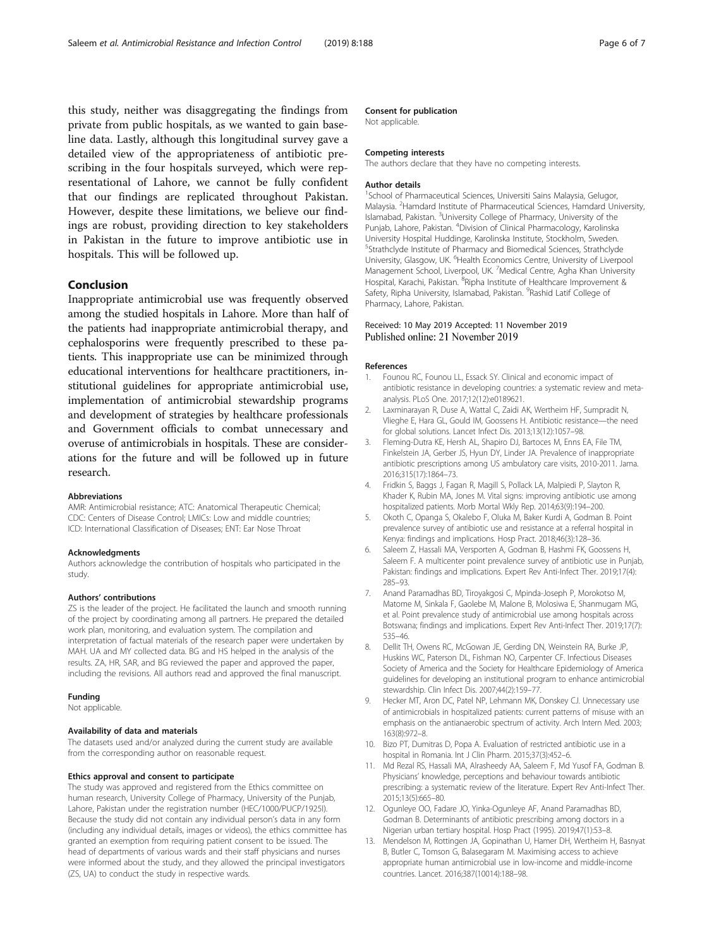<span id="page-5-0"></span>this study, neither was disaggregating the findings from private from public hospitals, as we wanted to gain baseline data. Lastly, although this longitudinal survey gave a detailed view of the appropriateness of antibiotic prescribing in the four hospitals surveyed, which were representational of Lahore, we cannot be fully confident that our findings are replicated throughout Pakistan. However, despite these limitations, we believe our findings are robust, providing direction to key stakeholders in Pakistan in the future to improve antibiotic use in hospitals. This will be followed up.

## Conclusion

Inappropriate antimicrobial use was frequently observed among the studied hospitals in Lahore. More than half of the patients had inappropriate antimicrobial therapy, and cephalosporins were frequently prescribed to these patients. This inappropriate use can be minimized through educational interventions for healthcare practitioners, institutional guidelines for appropriate antimicrobial use, implementation of antimicrobial stewardship programs and development of strategies by healthcare professionals and Government officials to combat unnecessary and overuse of antimicrobials in hospitals. These are considerations for the future and will be followed up in future research.

#### Abbreviations

AMR: Antimicrobial resistance; ATC: Anatomical Therapeutic Chemical; CDC: Centers of Disease Control; LMICs: Low and middle countries; ICD: International Classification of Diseases; ENT: Ear Nose Throat

#### Acknowledgments

Authors acknowledge the contribution of hospitals who participated in the study.

#### Authors' contributions

ZS is the leader of the project. He facilitated the launch and smooth running of the project by coordinating among all partners. He prepared the detailed work plan, monitoring, and evaluation system. The compilation and interpretation of factual materials of the research paper were undertaken by MAH. UA and MY collected data. BG and HS helped in the analysis of the results. ZA, HR, SAR, and BG reviewed the paper and approved the paper, including the revisions. All authors read and approved the final manuscript.

#### Funding

Not applicable.

#### Availability of data and materials

The datasets used and/or analyzed during the current study are available from the corresponding author on reasonable request.

#### Ethics approval and consent to participate

The study was approved and registered from the Ethics committee on human research, University College of Pharmacy, University of the Punjab, Lahore, Pakistan under the registration number (HEC/1000/PUCP/1925I). Because the study did not contain any individual person's data in any form (including any individual details, images or videos), the ethics committee has granted an exemption from requiring patient consent to be issued. The head of departments of various wards and their staff physicians and nurses were informed about the study, and they allowed the principal investigators (ZS, UA) to conduct the study in respective wards.

#### Consent for publication

Not applicable.

#### Competing interests

The authors declare that they have no competing interests.

#### Author details

<sup>1</sup>School of Pharmaceutical Sciences, Universiti Sains Malaysia, Gelugor, Malaysia. <sup>2</sup>Hamdard Institute of Pharmaceutical Sciences, Hamdard University, Islamabad, Pakistan. <sup>3</sup>University College of Pharmacy, University of the Punjab, Lahore, Pakistan. <sup>4</sup> Division of Clinical Pharmacology, Karolinska University Hospital Huddinge, Karolinska Institute, Stockholm, Sweden. 5 Strathclyde Institute of Pharmacy and Biomedical Sciences, Strathclyde University, Glasgow, UK. <sup>6</sup> Health Economics Centre, University of Liverpool Management School, Liverpool, UK. <sup>7</sup>Medical Centre, Agha Khan University Hospital, Karachi, Pakistan. <sup>8</sup>Ripha Institute of Healthcare Improvement & Safety, Ripha University, Islamabad, Pakistan. <sup>9</sup>Rashid Latif College of Pharmacy, Lahore, Pakistan.

## Received: 10 May 2019 Accepted: 11 November 2019 Published online: 21 November 2019

#### References

- 1. Founou RC, Founou LL, Essack SY. Clinical and economic impact of antibiotic resistance in developing countries: a systematic review and metaanalysis. PLoS One. 2017;12(12):e0189621.
- 2. Laxminarayan R, Duse A, Wattal C, Zaidi AK, Wertheim HF, Sumpradit N, Vlieghe E, Hara GL, Gould IM, Goossens H. Antibiotic resistance—the need for global solutions. Lancet Infect Dis. 2013;13(12):1057–98.
- 3. Fleming-Dutra KE, Hersh AL, Shapiro DJ, Bartoces M, Enns EA, File TM, Finkelstein JA, Gerber JS, Hyun DY, Linder JA. Prevalence of inappropriate antibiotic prescriptions among US ambulatory care visits, 2010-2011. Jama. 2016;315(17):1864–73.
- 4. Fridkin S, Baggs J, Fagan R, Magill S, Pollack LA, Malpiedi P, Slayton R, Khader K, Rubin MA, Jones M. Vital signs: improving antibiotic use among hospitalized patients. Morb Mortal Wkly Rep. 2014;63(9):194–200.
- 5. Okoth C, Opanga S, Okalebo F, Oluka M, Baker Kurdi A, Godman B. Point prevalence survey of antibiotic use and resistance at a referral hospital in Kenya: findings and implications. Hosp Pract. 2018;46(3):128–36.
- Saleem Z, Hassali MA, Versporten A, Godman B, Hashmi FK, Goossens H, Saleem F. A multicenter point prevalence survey of antibiotic use in Punjab, Pakistan: findings and implications. Expert Rev Anti-Infect Ther. 2019;17(4): 285–93.
- 7. Anand Paramadhas BD, Tiroyakgosi C, Mpinda-Joseph P, Morokotso M, Matome M, Sinkala F, Gaolebe M, Malone B, Molosiwa E, Shanmugam MG, et al. Point prevalence study of antimicrobial use among hospitals across Botswana; findings and implications. Expert Rev Anti-Infect Ther. 2019;17(7): 535–46.
- 8. Dellit TH, Owens RC, McGowan JE, Gerding DN, Weinstein RA, Burke JP, Huskins WC, Paterson DL, Fishman NO, Carpenter CF. Infectious Diseases Society of America and the Society for Healthcare Epidemiology of America guidelines for developing an institutional program to enhance antimicrobial stewardship. Clin Infect Dis. 2007;44(2):159–77.
- Hecker MT, Aron DC, Patel NP, Lehmann MK, Donskey CJ. Unnecessary use of antimicrobials in hospitalized patients: current patterns of misuse with an emphasis on the antianaerobic spectrum of activity. Arch Intern Med. 2003; 163(8):972–8.
- 10. Bizo PT, Dumitras D, Popa A. Evaluation of restricted antibiotic use in a hospital in Romania. Int J Clin Pharm. 2015;37(3):452–6.
- 11. Md Rezal RS, Hassali MA, Alrasheedy AA, Saleem F, Md Yusof FA, Godman B. Physicians' knowledge, perceptions and behaviour towards antibiotic prescribing: a systematic review of the literature. Expert Rev Anti-Infect Ther. 2015;13(5):665–80.
- 12. Ogunleye OO, Fadare JO, Yinka-Ogunleye AF, Anand Paramadhas BD, Godman B. Determinants of antibiotic prescribing among doctors in a Nigerian urban tertiary hospital. Hosp Pract (1995). 2019;47(1):53–8.
- 13. Mendelson M, Rottingen JA, Gopinathan U, Hamer DH, Wertheim H, Basnyat B, Butler C, Tomson G, Balasegaram M. Maximising access to achieve appropriate human antimicrobial use in low-income and middle-income countries. Lancet. 2016;387(10014):188–98.